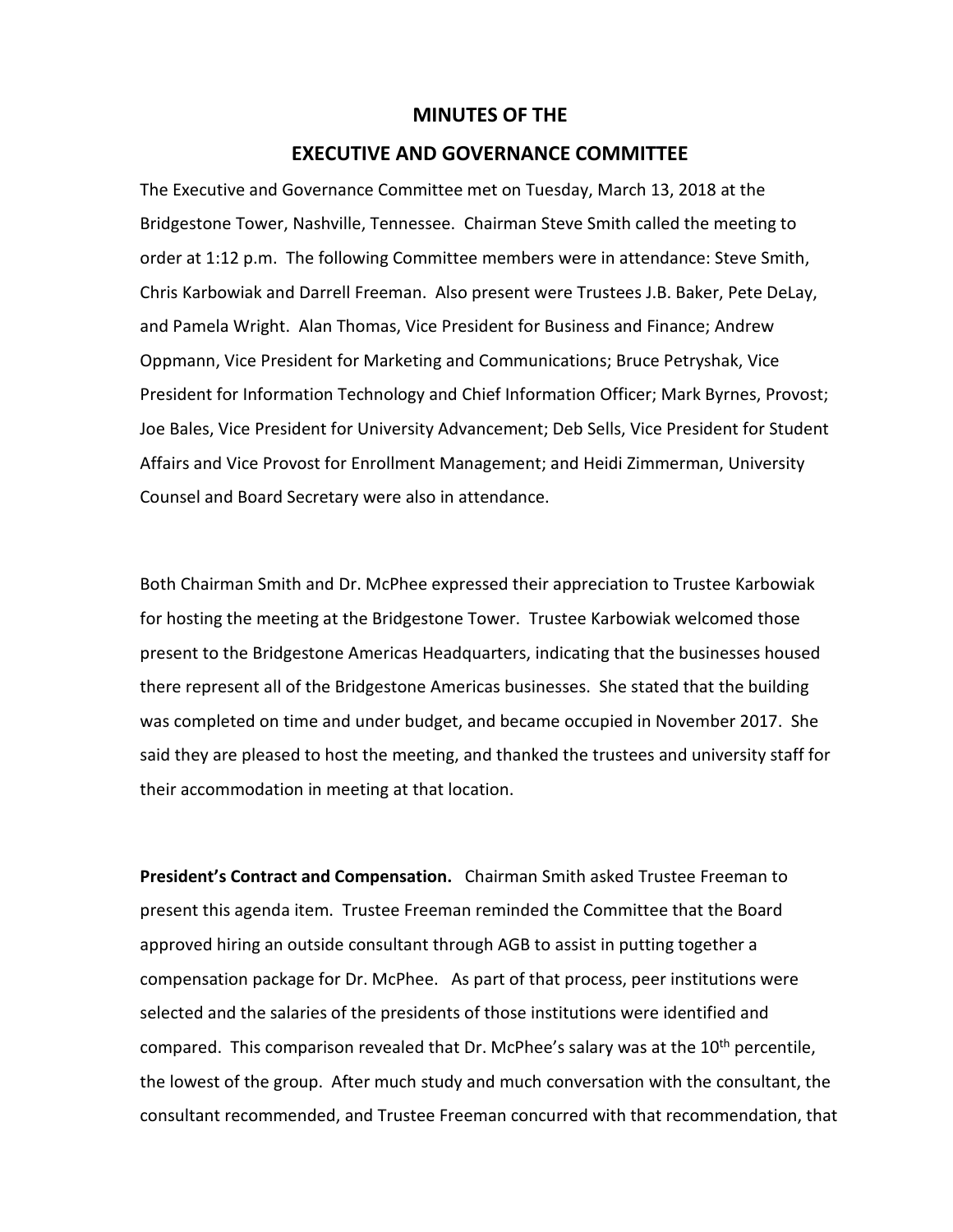## **MINUTES OF THE**

## **EXECUTIVE AND GOVERNANCE COMMITTEE**

The Executive and Governance Committee met on Tuesday, March 13, 2018 at the Bridgestone Tower, Nashville, Tennessee. Chairman Steve Smith called the meeting to order at 1:12 p.m. The following Committee members were in attendance: Steve Smith, Chris Karbowiak and Darrell Freeman. Also present were Trustees J.B. Baker, Pete DeLay, and Pamela Wright. Alan Thomas, Vice President for Business and Finance; Andrew Oppmann, Vice President for Marketing and Communications; Bruce Petryshak, Vice President for Information Technology and Chief Information Officer; Mark Byrnes, Provost; Joe Bales, Vice President for University Advancement; Deb Sells, Vice President for Student Affairs and Vice Provost for Enrollment Management; and Heidi Zimmerman, University Counsel and Board Secretary were also in attendance.

Both Chairman Smith and Dr. McPhee expressed their appreciation to Trustee Karbowiak for hosting the meeting at the Bridgestone Tower. Trustee Karbowiak welcomed those present to the Bridgestone Americas Headquarters, indicating that the businesses housed there represent all of the Bridgestone Americas businesses. She stated that the building was completed on time and under budget, and became occupied in November 2017. She said they are pleased to host the meeting, and thanked the trustees and university staff for their accommodation in meeting at that location.

**President's Contract and Compensation.** Chairman Smith asked Trustee Freeman to present this agenda item. Trustee Freeman reminded the Committee that the Board approved hiring an outside consultant through AGB to assist in putting together a compensation package for Dr. McPhee. As part of that process, peer institutions were selected and the salaries of the presidents of those institutions were identified and compared. This comparison revealed that Dr. McPhee's salary was at the  $10^{th}$  percentile, the lowest of the group. After much study and much conversation with the consultant, the consultant recommended, and Trustee Freeman concurred with that recommendation, that